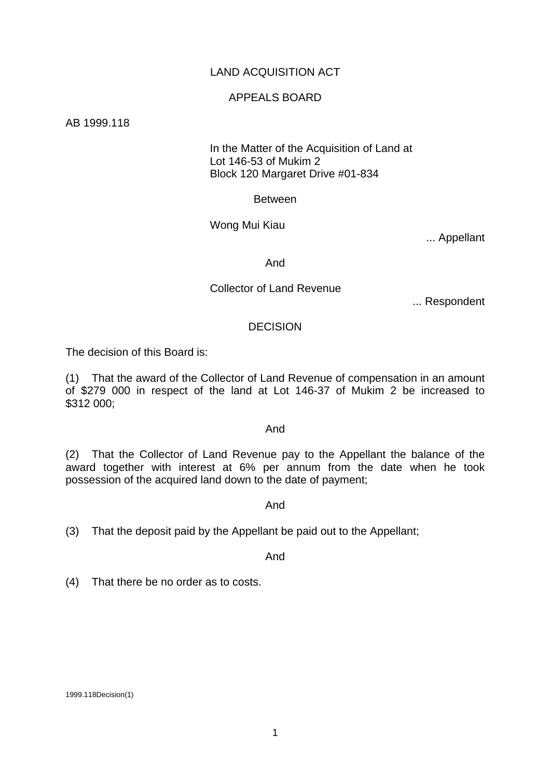# LAND ACQUISITION ACT

### APPEALS BOARD

AB 1999.118

 In the Matter of the Acquisition of Land at Lot 146-53 of Mukim 2 Block 120 Margaret Drive #01-834

Between

Wong Mui Kiau

... Appellant

And

## Collector of Land Revenue

... Respondent

#### DECISION

The decision of this Board is:

(1) That the award of the Collector of Land Revenue of compensation in an amount of \$279 000 in respect of the land at Lot 146-37 of Mukim 2 be increased to \$312 000;

#### And

(2) That the Collector of Land Revenue pay to the Appellant the balance of the award together with interest at 6% per annum from the date when he took possession of the acquired land down to the date of payment;

And

(3) That the deposit paid by the Appellant be paid out to the Appellant;

And

(4) That there be no order as to costs.

1999.118Decision(1)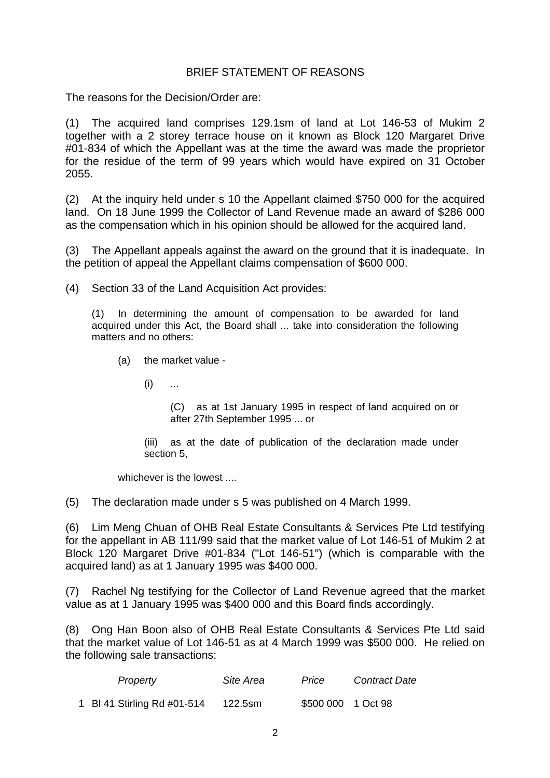# BRIEF STATEMENT OF REASONS

The reasons for the Decision/Order are:

(1) The acquired land comprises 129.1sm of land at Lot 146-53 of Mukim 2 together with a 2 storey terrace house on it known as Block 120 Margaret Drive #01-834 of which the Appellant was at the time the award was made the proprietor for the residue of the term of 99 years which would have expired on 31 October 2055.

(2) At the inquiry held under s 10 the Appellant claimed \$750 000 for the acquired land. On 18 June 1999 the Collector of Land Revenue made an award of \$286 000 as the compensation which in his opinion should be allowed for the acquired land.

(3) The Appellant appeals against the award on the ground that it is inadequate. In the petition of appeal the Appellant claims compensation of \$600 000.

(4) Section 33 of the Land Acquisition Act provides:

(1) In determining the amount of compensation to be awarded for land acquired under this Act, the Board shall ... take into consideration the following matters and no others:

(a) the market value -

 $(i)$  ...

(C) as at 1st January 1995 in respect of land acquired on or after 27th September 1995 ... or

(iii) as at the date of publication of the declaration made under section 5,

whichever is the lowest ....

(5) The declaration made under s 5 was published on 4 March 1999.

(6) Lim Meng Chuan of OHB Real Estate Consultants & Services Pte Ltd testifying for the appellant in AB 111/99 said that the market value of Lot 146-51 of Mukim 2 at Block 120 Margaret Drive #01-834 ("Lot 146-51") (which is comparable with the acquired land) as at 1 January 1995 was \$400 000.

(7) Rachel Ng testifying for the Collector of Land Revenue agreed that the market value as at 1 January 1995 was \$400 000 and this Board finds accordingly.

(8) Ong Han Boon also of OHB Real Estate Consultants & Services Pte Ltd said that the market value of Lot 146-51 as at 4 March 1999 was \$500 000. He relied on the following sale transactions:

| Property                    | Site Area | Price              | <b>Contract Date</b> |
|-----------------------------|-----------|--------------------|----------------------|
| 1 BI 41 Stirling Rd #01-514 | 122.5sm   | \$500 000 1 Oct 98 |                      |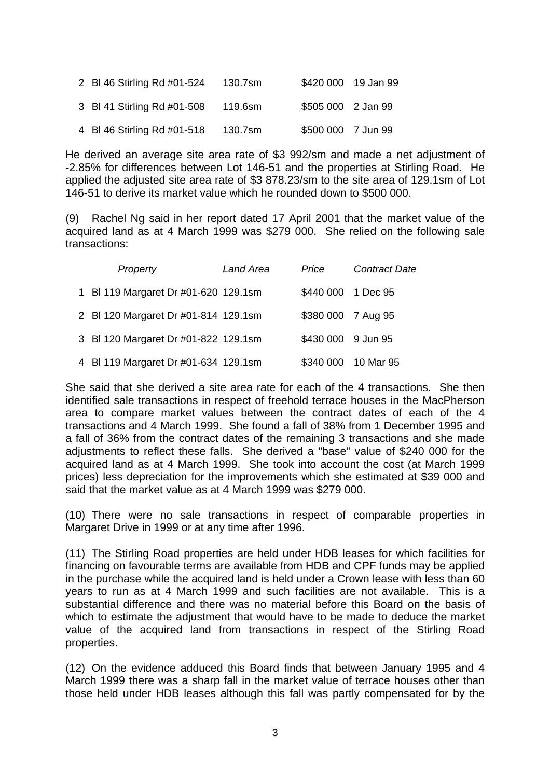| 2 BI 46 Stirling Rd #01-524 | 130.7sm |                    | \$420 000 19 Jan 99 |
|-----------------------------|---------|--------------------|---------------------|
| 3 BI 41 Stirling Rd #01-508 | 119.6sm | \$505 000 2 Jan 99 |                     |
| 4 BI 46 Stirling Rd #01-518 | 130.7sm | \$500 000 7 Jun 99 |                     |

He derived an average site area rate of \$3 992/sm and made a net adjustment of -2.85% for differences between Lot 146-51 and the properties at Stirling Road. He applied the adjusted site area rate of \$3 878.23/sm to the site area of 129.1sm of Lot 146-51 to derive its market value which he rounded down to \$500 000.

(9) Rachel Ng said in her report dated 17 April 2001 that the market value of the acquired land as at 4 March 1999 was \$279 000. She relied on the following sale transactions:

| Property                             | Land Area | Price               | <b>Contract Date</b> |
|--------------------------------------|-----------|---------------------|----------------------|
| 1 BI 119 Margaret Dr #01-620 129.1sm |           | \$440 000 1 Dec 95  |                      |
| 2 BI 120 Margaret Dr #01-814 129.1sm |           | \$380 000 7 Aug 95  |                      |
| 3 BI 120 Margaret Dr #01-822 129.1sm |           | \$430 000 9 Jun 95  |                      |
| 4 BI 119 Margaret Dr #01-634 129.1sm |           | \$340 000 10 Mar 95 |                      |

She said that she derived a site area rate for each of the 4 transactions. She then identified sale transactions in respect of freehold terrace houses in the MacPherson area to compare market values between the contract dates of each of the 4 transactions and 4 March 1999. She found a fall of 38% from 1 December 1995 and a fall of 36% from the contract dates of the remaining 3 transactions and she made adjustments to reflect these falls. She derived a "base" value of \$240 000 for the acquired land as at 4 March 1999. She took into account the cost (at March 1999 prices) less depreciation for the improvements which she estimated at \$39 000 and said that the market value as at 4 March 1999 was \$279 000.

(10) There were no sale transactions in respect of comparable properties in Margaret Drive in 1999 or at any time after 1996.

(11) The Stirling Road properties are held under HDB leases for which facilities for financing on favourable terms are available from HDB and CPF funds may be applied in the purchase while the acquired land is held under a Crown lease with less than 60 years to run as at 4 March 1999 and such facilities are not available. This is a substantial difference and there was no material before this Board on the basis of which to estimate the adjustment that would have to be made to deduce the market value of the acquired land from transactions in respect of the Stirling Road properties.

(12) On the evidence adduced this Board finds that between January 1995 and 4 March 1999 there was a sharp fall in the market value of terrace houses other than those held under HDB leases although this fall was partly compensated for by the